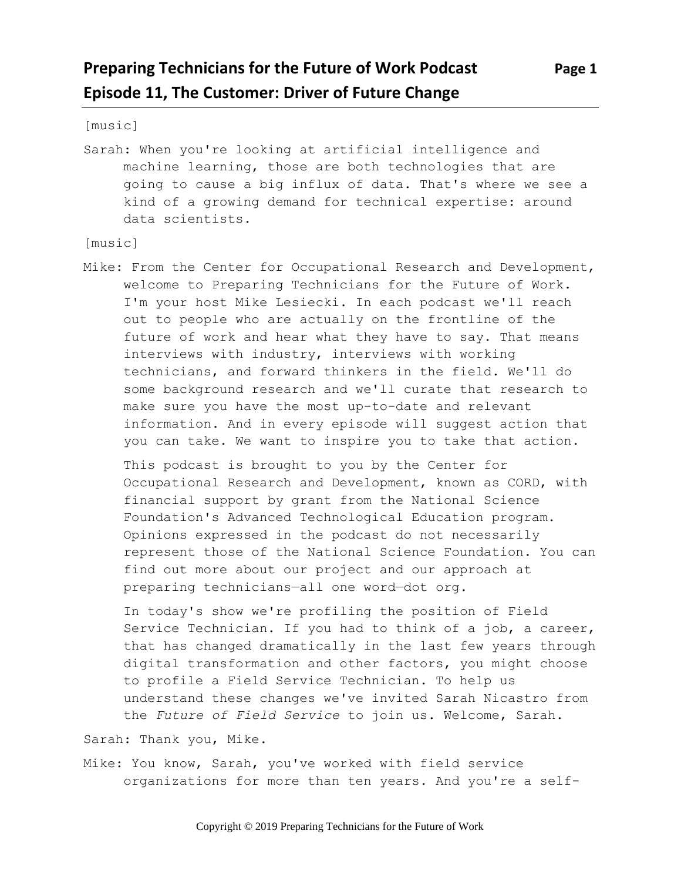## **Preparing Technicians for the Future of Work Podcast Page 1 Episode 11, The Customer: Driver of Future Change**

[music]

Sarah: When you're looking at artificial intelligence and machine learning, those are both technologies that are going to cause a big influx of data. That's where we see a kind of a growing demand for technical expertise: around data scientists.

[music]

Mike: From the Center for Occupational Research and Development, welcome to Preparing Technicians for the Future of Work. I'm your host Mike Lesiecki. In each podcast we'll reach out to people who are actually on the frontline of the future of work and hear what they have to say. That means interviews with industry, interviews with working technicians, and forward thinkers in the field. We'll do some background research and we'll curate that research to make sure you have the most up-to-date and relevant information. And in every episode will suggest action that you can take. We want to inspire you to take that action.

This podcast is brought to you by the Center for Occupational Research and Development, known as CORD, with financial support by grant from the National Science Foundation's Advanced Technological Education program. Opinions expressed in the podcast do not necessarily represent those of the National Science Foundation. You can find out more about our project and our approach at preparing technicians—all one word—dot org.

In today's show we're profiling the position of Field Service Technician. If you had to think of a job, a career, that has changed dramatically in the last few years through digital transformation and other factors, you might choose to profile a Field Service Technician. To help us understand these changes we've invited Sarah Nicastro from the *Future of Field Service* to join us. Welcome, Sarah.

Sarah: Thank you, Mike.

Mike: You know, Sarah, you've worked with field service organizations for more than ten years. And you're a self-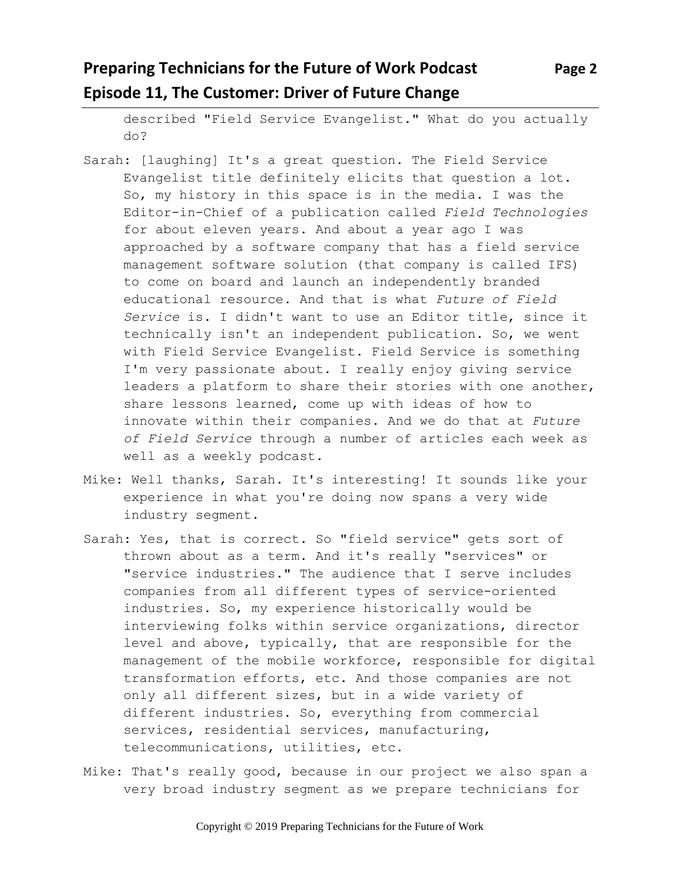# **Preparing Technicians for the Future of Work Podcast Page 2 Episode 11, The Customer: Driver of Future Change**

described "Field Service Evangelist." What do you actually do?

- Sarah: [laughing] It's a great question. The Field Service Evangelist title definitely elicits that question a lot. So, my history in this space is in the media. I was the Editor-in-Chief of a publication called *Field Technologies*  for about eleven years. And about a year ago I was approached by a software company that has a field service management software solution (that company is called IFS) to come on board and launch an independently branded educational resource. And that is what *Future of Field Service* is. I didn't want to use an Editor title, since it technically isn't an independent publication. So, we went with Field Service Evangelist. Field Service is something I'm very passionate about. I really enjoy giving service leaders a platform to share their stories with one another, share lessons learned, come up with ideas of how to innovate within their companies. And we do that at *Future of Field Service* through a number of articles each week as well as a weekly podcast.
- Mike: Well thanks, Sarah. It's interesting! It sounds like your experience in what you're doing now spans a very wide industry segment.
- Sarah: Yes, that is correct. So "field service" gets sort of thrown about as a term. And it's really "services" or "service industries." The audience that I serve includes companies from all different types of service-oriented industries. So, my experience historically would be interviewing folks within service organizations, director level and above, typically, that are responsible for the management of the mobile workforce, responsible for digital transformation efforts, etc. And those companies are not only all different sizes, but in a wide variety of different industries. So, everything from commercial services, residential services, manufacturing, telecommunications, utilities, etc.
- Mike: That's really good, because in our project we also span a very broad industry segment as we prepare technicians for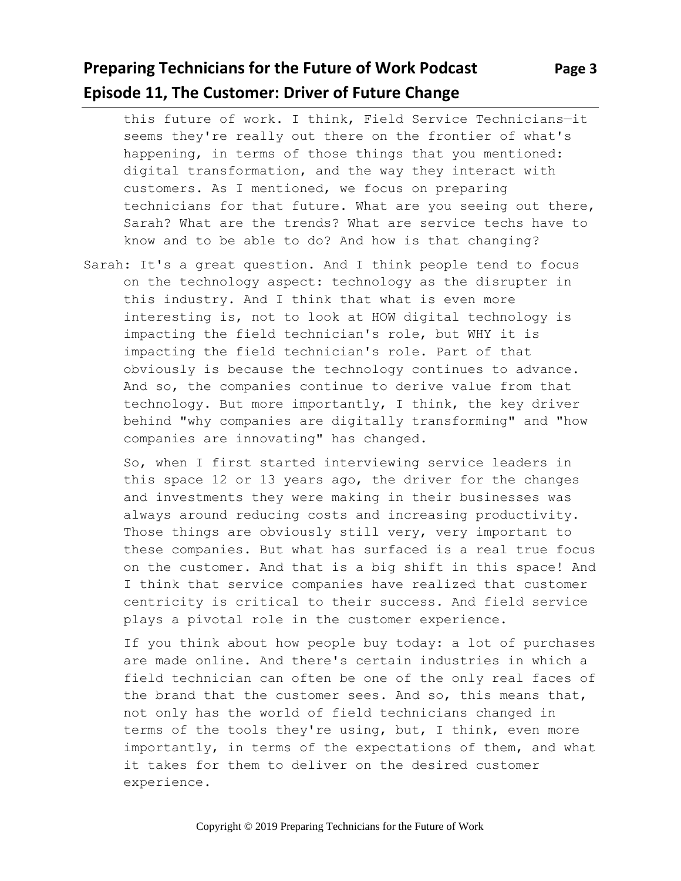## **Preparing Technicians for the Future of Work Podcast Page 3 Episode 11, The Customer: Driver of Future Change**

this future of work. I think, Field Service Technicians—it seems they're really out there on the frontier of what's happening, in terms of those things that you mentioned: digital transformation, and the way they interact with customers. As I mentioned, we focus on preparing technicians for that future. What are you seeing out there, Sarah? What are the trends? What are service techs have to know and to be able to do? And how is that changing?

Sarah: It's a great question. And I think people tend to focus on the technology aspect: technology as the disrupter in this industry. And I think that what is even more interesting is, not to look at HOW digital technology is impacting the field technician's role, but WHY it is impacting the field technician's role. Part of that obviously is because the technology continues to advance. And so, the companies continue to derive value from that technology. But more importantly, I think, the key driver behind "why companies are digitally transforming" and "how companies are innovating" has changed.

So, when I first started interviewing service leaders in this space 12 or 13 years ago, the driver for the changes and investments they were making in their businesses was always around reducing costs and increasing productivity. Those things are obviously still very, very important to these companies. But what has surfaced is a real true focus on the customer. And that is a big shift in this space! And I think that service companies have realized that customer centricity is critical to their success. And field service plays a pivotal role in the customer experience.

If you think about how people buy today: a lot of purchases are made online. And there's certain industries in which a field technician can often be one of the only real faces of the brand that the customer sees. And so, this means that, not only has the world of field technicians changed in terms of the tools they're using, but, I think, even more importantly, in terms of the expectations of them, and what it takes for them to deliver on the desired customer experience.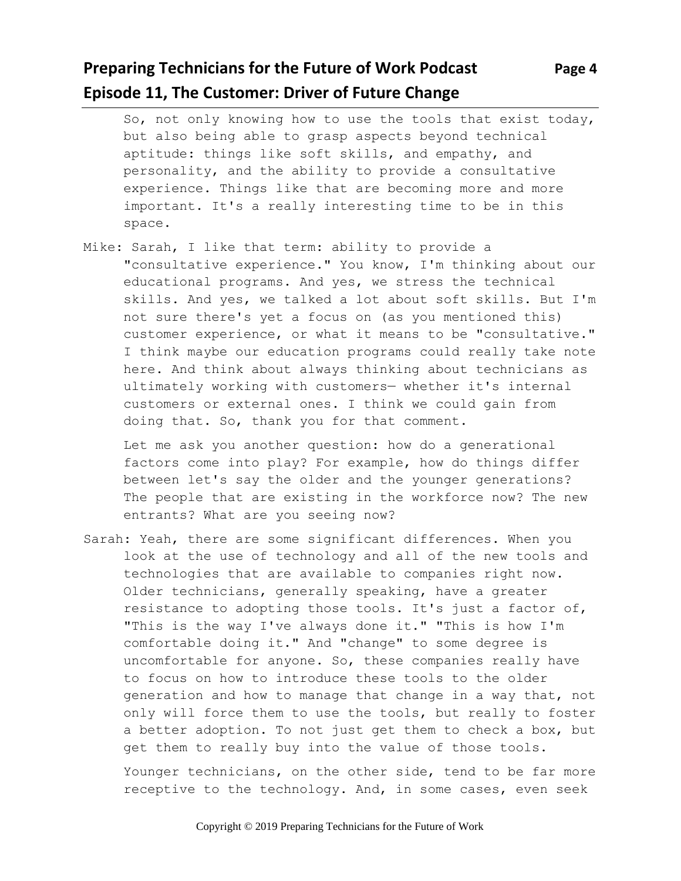## **Preparing Technicians for the Future of Work Podcast Page 4 Episode 11, The Customer: Driver of Future Change**

So, not only knowing how to use the tools that exist today, but also being able to grasp aspects beyond technical aptitude: things like soft skills, and empathy, and personality, and the ability to provide a consultative experience. Things like that are becoming more and more important. It's a really interesting time to be in this space.

Mike: Sarah, I like that term: ability to provide a "consultative experience." You know, I'm thinking about our educational programs. And yes, we stress the technical skills. And yes, we talked a lot about soft skills. But I'm not sure there's yet a focus on (as you mentioned this) customer experience, or what it means to be "consultative." I think maybe our education programs could really take note here. And think about always thinking about technicians as ultimately working with customers— whether it's internal customers or external ones. I think we could gain from doing that. So, thank you for that comment.

Let me ask you another question: how do a generational factors come into play? For example, how do things differ between let's say the older and the younger generations? The people that are existing in the workforce now? The new entrants? What are you seeing now?

Sarah: Yeah, there are some significant differences. When you look at the use of technology and all of the new tools and technologies that are available to companies right now. Older technicians, generally speaking, have a greater resistance to adopting those tools. It's just a factor of, "This is the way I've always done it." "This is how I'm comfortable doing it." And "change" to some degree is uncomfortable for anyone. So, these companies really have to focus on how to introduce these tools to the older generation and how to manage that change in a way that, not only will force them to use the tools, but really to foster a better adoption. To not just get them to check a box, but get them to really buy into the value of those tools.

Younger technicians, on the other side, tend to be far more receptive to the technology. And, in some cases, even seek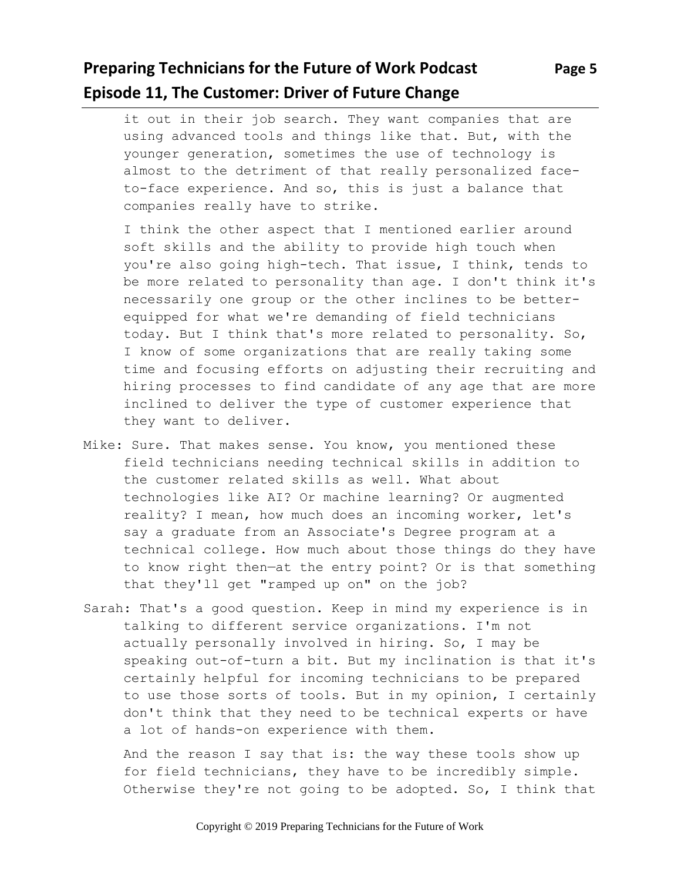## **Preparing Technicians for the Future of Work Podcast Page 5 Episode 11, The Customer: Driver of Future Change**

it out in their job search. They want companies that are using advanced tools and things like that. But, with the younger generation, sometimes the use of technology is almost to the detriment of that really personalized faceto-face experience. And so, this is just a balance that companies really have to strike.

I think the other aspect that I mentioned earlier around soft skills and the ability to provide high touch when you're also going high-tech. That issue, I think, tends to be more related to personality than age. I don't think it's necessarily one group or the other inclines to be betterequipped for what we're demanding of field technicians today. But I think that's more related to personality. So, I know of some organizations that are really taking some time and focusing efforts on adjusting their recruiting and hiring processes to find candidate of any age that are more inclined to deliver the type of customer experience that they want to deliver.

- Mike: Sure. That makes sense. You know, you mentioned these field technicians needing technical skills in addition to the customer related skills as well. What about technologies like AI? Or machine learning? Or augmented reality? I mean, how much does an incoming worker, let's say a graduate from an Associate's Degree program at a technical college. How much about those things do they have to know right then—at the entry point? Or is that something that they'll get "ramped up on" on the job?
- Sarah: That's a good question. Keep in mind my experience is in talking to different service organizations. I'm not actually personally involved in hiring. So, I may be speaking out-of-turn a bit. But my inclination is that it's certainly helpful for incoming technicians to be prepared to use those sorts of tools. But in my opinion, I certainly don't think that they need to be technical experts or have a lot of hands-on experience with them.

And the reason I say that is: the way these tools show up for field technicians, they have to be incredibly simple. Otherwise they're not going to be adopted. So, I think that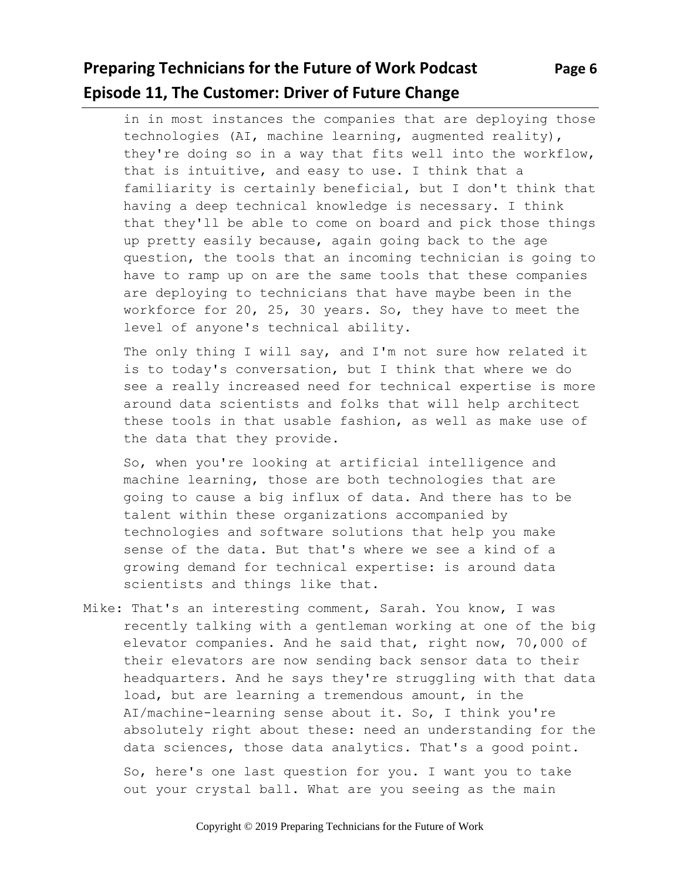## **Preparing Technicians for the Future of Work Podcast Page 6 Episode 11, The Customer: Driver of Future Change**

in in most instances the companies that are deploying those technologies (AI, machine learning, augmented reality), they're doing so in a way that fits well into the workflow, that is intuitive, and easy to use. I think that a familiarity is certainly beneficial, but I don't think that having a deep technical knowledge is necessary. I think that they'll be able to come on board and pick those things up pretty easily because, again going back to the age question, the tools that an incoming technician is going to have to ramp up on are the same tools that these companies are deploying to technicians that have maybe been in the workforce for 20, 25, 30 years. So, they have to meet the level of anyone's technical ability.

The only thing I will say, and I'm not sure how related it is to today's conversation, but I think that where we do see a really increased need for technical expertise is more around data scientists and folks that will help architect these tools in that usable fashion, as well as make use of the data that they provide.

So, when you're looking at artificial intelligence and machine learning, those are both technologies that are going to cause a big influx of data. And there has to be talent within these organizations accompanied by technologies and software solutions that help you make sense of the data. But that's where we see a kind of a growing demand for technical expertise: is around data scientists and things like that.

Mike: That's an interesting comment, Sarah. You know, I was recently talking with a gentleman working at one of the big elevator companies. And he said that, right now, 70,000 of their elevators are now sending back sensor data to their headquarters. And he says they're struggling with that data load, but are learning a tremendous amount, in the AI/machine-learning sense about it. So, I think you're absolutely right about these: need an understanding for the data sciences, those data analytics. That's a good point.

So, here's one last question for you. I want you to take out your crystal ball. What are you seeing as the main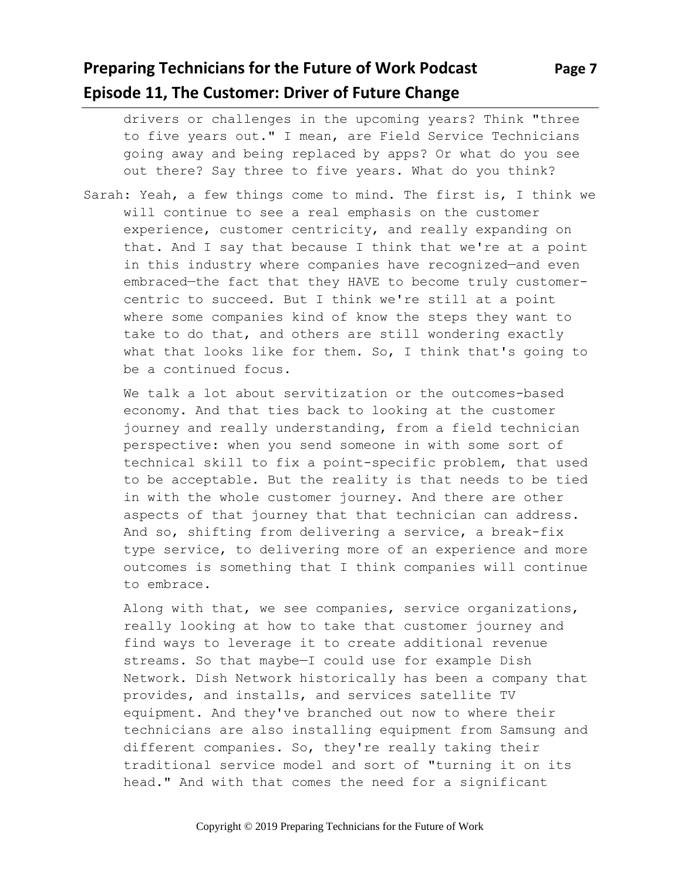## **Preparing Technicians for the Future of Work Podcast Page 7 Episode 11, The Customer: Driver of Future Change**

drivers or challenges in the upcoming years? Think "three to five years out." I mean, are Field Service Technicians going away and being replaced by apps? Or what do you see out there? Say three to five years. What do you think?

Sarah: Yeah, a few things come to mind. The first is, I think we will continue to see a real emphasis on the customer experience, customer centricity, and really expanding on that. And I say that because I think that we're at a point in this industry where companies have recognized—and even embraced—the fact that they HAVE to become truly customercentric to succeed. But I think we're still at a point where some companies kind of know the steps they want to take to do that, and others are still wondering exactly what that looks like for them. So, I think that's going to be a continued focus.

We talk a lot about servitization or the outcomes-based economy. And that ties back to looking at the customer journey and really understanding, from a field technician perspective: when you send someone in with some sort of technical skill to fix a point-specific problem, that used to be acceptable. But the reality is that needs to be tied in with the whole customer journey. And there are other aspects of that journey that that technician can address. And so, shifting from delivering a service, a break-fix type service, to delivering more of an experience and more outcomes is something that I think companies will continue to embrace.

Along with that, we see companies, service organizations, really looking at how to take that customer journey and find ways to leverage it to create additional revenue streams. So that maybe—I could use for example Dish Network. Dish Network historically has been a company that provides, and installs, and services satellite TV equipment. And they've branched out now to where their technicians are also installing equipment from Samsung and different companies. So, they're really taking their traditional service model and sort of "turning it on its head." And with that comes the need for a significant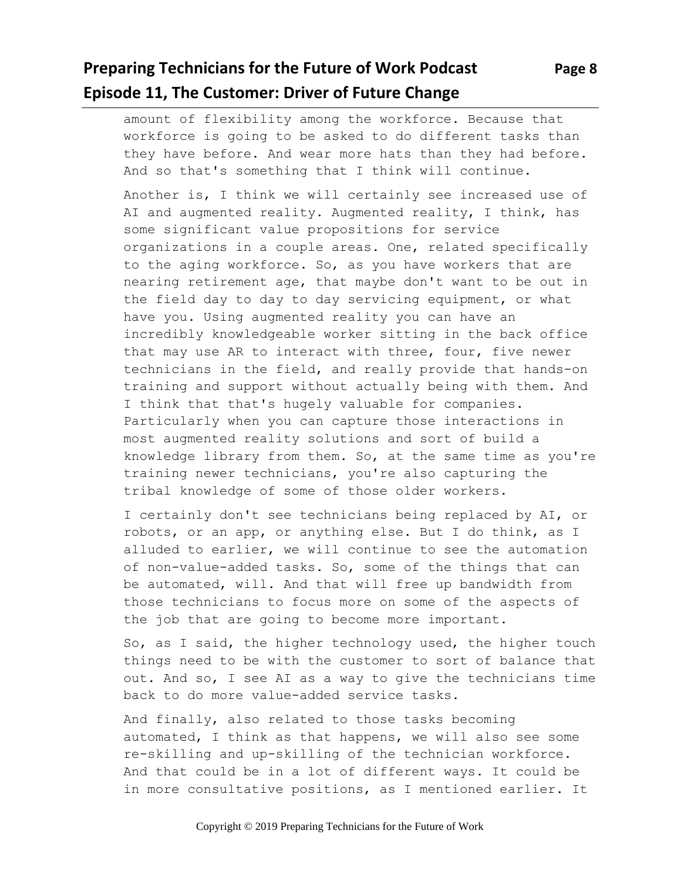## **Preparing Technicians for the Future of Work Podcast Page 8 Episode 11, The Customer: Driver of Future Change**

amount of flexibility among the workforce. Because that workforce is going to be asked to do different tasks than they have before. And wear more hats than they had before. And so that's something that I think will continue.

Another is, I think we will certainly see increased use of AI and augmented reality. Augmented reality, I think, has some significant value propositions for service organizations in a couple areas. One, related specifically to the aging workforce. So, as you have workers that are nearing retirement age, that maybe don't want to be out in the field day to day to day servicing equipment, or what have you. Using augmented reality you can have an incredibly knowledgeable worker sitting in the back office that may use AR to interact with three, four, five newer technicians in the field, and really provide that hands-on training and support without actually being with them. And I think that that's hugely valuable for companies. Particularly when you can capture those interactions in most augmented reality solutions and sort of build a knowledge library from them. So, at the same time as you're training newer technicians, you're also capturing the tribal knowledge of some of those older workers.

I certainly don't see technicians being replaced by AI, or robots, or an app, or anything else. But I do think, as I alluded to earlier, we will continue to see the automation of non-value-added tasks. So, some of the things that can be automated, will. And that will free up bandwidth from those technicians to focus more on some of the aspects of the job that are going to become more important.

So, as I said, the higher technology used, the higher touch things need to be with the customer to sort of balance that out. And so, I see AI as a way to give the technicians time back to do more value-added service tasks.

And finally, also related to those tasks becoming automated, I think as that happens, we will also see some re-skilling and up-skilling of the technician workforce. And that could be in a lot of different ways. It could be in more consultative positions, as I mentioned earlier. It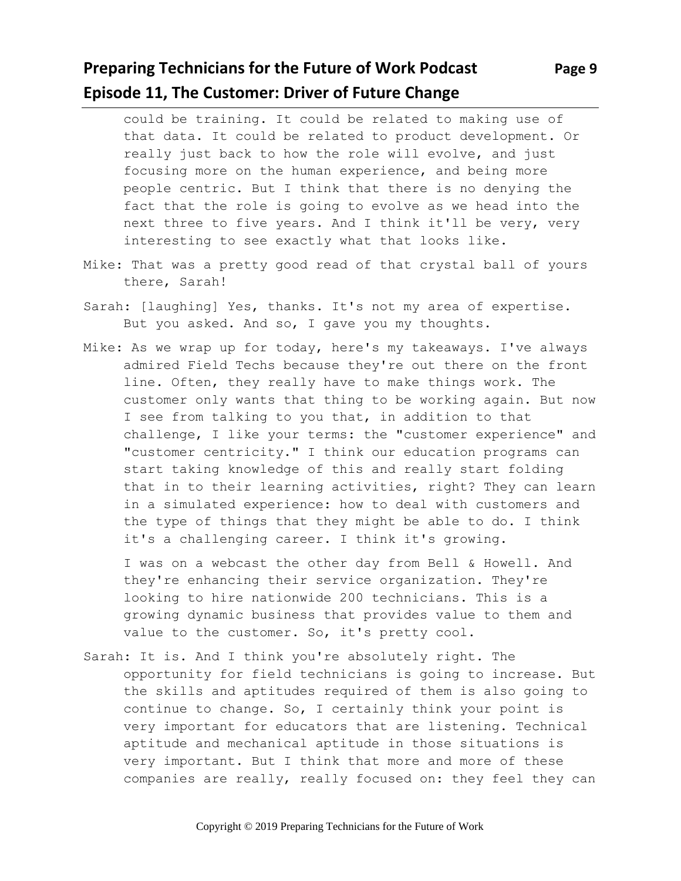## **Preparing Technicians for the Future of Work Podcast Page 9 Episode 11, The Customer: Driver of Future Change**

could be training. It could be related to making use of that data. It could be related to product development. Or really just back to how the role will evolve, and just focusing more on the human experience, and being more people centric. But I think that there is no denying the fact that the role is going to evolve as we head into the next three to five years. And I think it'll be very, very interesting to see exactly what that looks like.

- Mike: That was a pretty good read of that crystal ball of yours there, Sarah!
- Sarah: [laughing] Yes, thanks. It's not my area of expertise. But you asked. And so, I gave you my thoughts.
- Mike: As we wrap up for today, here's my takeaways. I've always admired Field Techs because they're out there on the front line. Often, they really have to make things work. The customer only wants that thing to be working again. But now I see from talking to you that, in addition to that challenge, I like your terms: the "customer experience" and "customer centricity." I think our education programs can start taking knowledge of this and really start folding that in to their learning activities, right? They can learn in a simulated experience: how to deal with customers and the type of things that they might be able to do. I think it's a challenging career. I think it's growing.

I was on a webcast the other day from Bell & Howell. And they're enhancing their service organization. They're looking to hire nationwide 200 technicians. This is a growing dynamic business that provides value to them and value to the customer. So, it's pretty cool.

Sarah: It is. And I think you're absolutely right. The opportunity for field technicians is going to increase. But the skills and aptitudes required of them is also going to continue to change. So, I certainly think your point is very important for educators that are listening. Technical aptitude and mechanical aptitude in those situations is very important. But I think that more and more of these companies are really, really focused on: they feel they can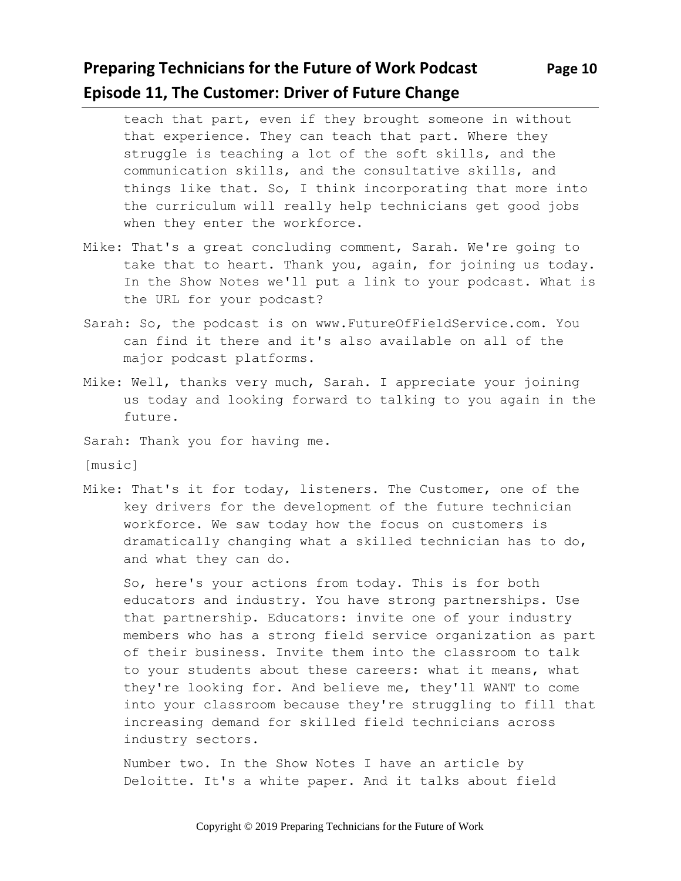#### **Preparing Technicians for the Future of Work Podcast Page 10 Episode 11, The Customer: Driver of Future Change**

teach that part, even if they brought someone in without that experience. They can teach that part. Where they struggle is teaching a lot of the soft skills, and the communication skills, and the consultative skills, and things like that. So, I think incorporating that more into the curriculum will really help technicians get good jobs when they enter the workforce.

- Mike: That's a great concluding comment, Sarah. We're going to take that to heart. Thank you, again, for joining us today. In the Show Notes we'll put a link to your podcast. What is the URL for your podcast?
- Sarah: So, the podcast is on www.FutureOfFieldService.com. You can find it there and it's also available on all of the major podcast platforms.
- Mike: Well, thanks very much, Sarah. I appreciate your joining us today and looking forward to talking to you again in the future.
- Sarah: Thank you for having me.

[music]

Mike: That's it for today, listeners. The Customer, one of the key drivers for the development of the future technician workforce. We saw today how the focus on customers is dramatically changing what a skilled technician has to do, and what they can do.

So, here's your actions from today. This is for both educators and industry. You have strong partnerships. Use that partnership. Educators: invite one of your industry members who has a strong field service organization as part of their business. Invite them into the classroom to talk to your students about these careers: what it means, what they're looking for. And believe me, they'll WANT to come into your classroom because they're struggling to fill that increasing demand for skilled field technicians across industry sectors.

Number two. In the Show Notes I have an article by Deloitte. It's a white paper. And it talks about field